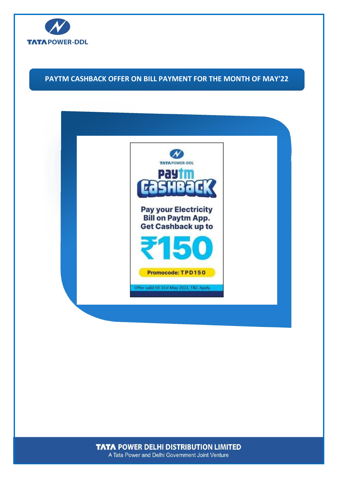

## **PAYTM CASHBACK OFFER ON BILL PAYMENT FOR THE MONTH OF MAY'22**



**TATA POWER DELHI DISTRIBUTION LIMITED** A Tata Power and Delhi Government Joint Venture